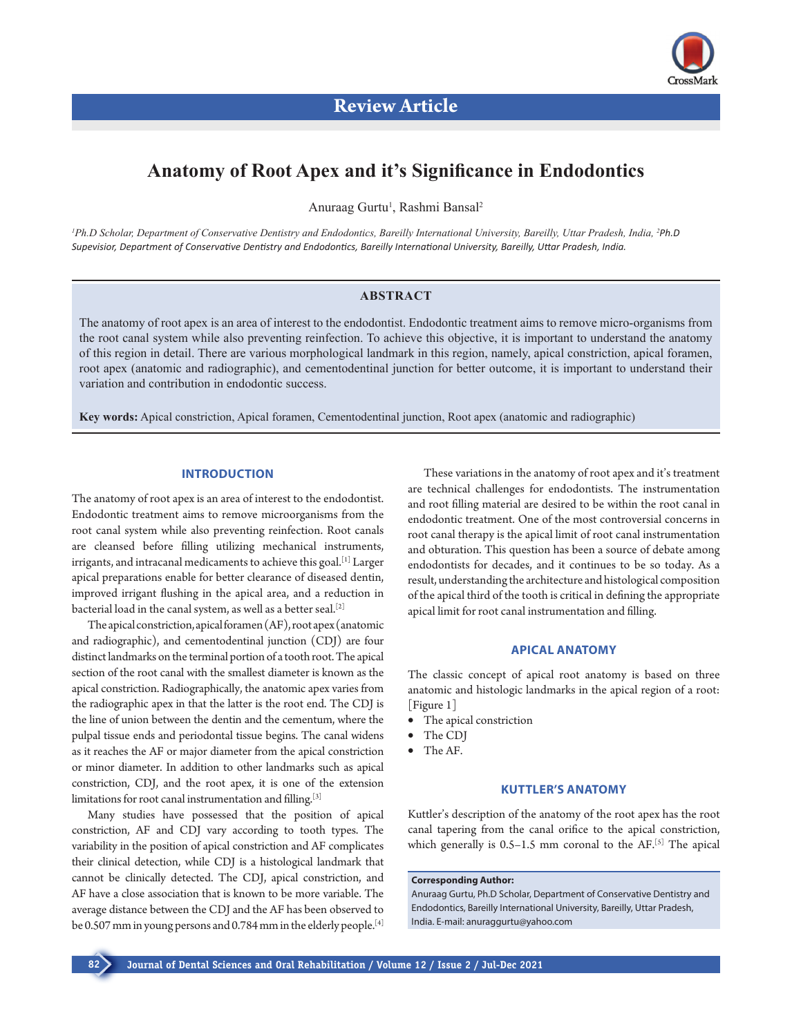

# **Anatomy of Root Apex and it's Significance in Endodontics**

Anuraag Gurtu<sup>1</sup>, Rashmi Bansal<sup>2</sup>

<sup>1</sup> Ph.D Scholar, Department of Conservative Dentistry and Endodontics, Bareilly International University, Bareilly, Uttar Pradesh, India, <sup>2</sup>Ph.D *Supevisior, Department of Conservative Dentistry and Endodontics, Bareilly International University, Bareilly, Uttar Pradesh, India.*

## **ABSTRACT**

The anatomy of root apex is an area of interest to the endodontist. Endodontic treatment aims to remove micro-organisms from the root canal system while also preventing reinfection. To achieve this objective, it is important to understand the anatomy of this region in detail. There are various morphological landmark in this region, namely, apical constriction, apical foramen, root apex (anatomic and radiographic), and cementodentinal junction for better outcome, it is important to understand their variation and contribution in endodontic success.

**Key words:** Apical constriction, Apical foramen, Cementodentinal junction, Root apex (anatomic and radiographic)

# **INTRODUCTION**

The anatomy of root apex is an area of interest to the endodontist. Endodontic treatment aims to remove microorganisms from the root canal system while also preventing reinfection. Root canals are cleansed before filling utilizing mechanical instruments, irrigants, and intracanal medicaments to achieve this goal.<sup>[1]</sup> Larger apical preparations enable for better clearance of diseased dentin, improved irrigant flushing in the apical area, and a reduction in bacterial load in the canal system, as well as a better seal.[2]

The apical constriction, apical foramen (AF), root apex (anatomic and radiographic), and cementodentinal junction (CDJ) are four distinct landmarks on the terminal portion of a tooth root. The apical section of the root canal with the smallest diameter is known as the apical constriction. Radiographically, the anatomic apex varies from the radiographic apex in that the latter is the root end. The CDJ is the line of union between the dentin and the cementum, where the pulpal tissue ends and periodontal tissue begins. The canal widens as it reaches the AF or major diameter from the apical constriction or minor diameter. In addition to other landmarks such as apical constriction, CDJ, and the root apex, it is one of the extension limitations for root canal instrumentation and filling.<sup>[3]</sup>

Many studies have possessed that the position of apical constriction, AF and CDJ vary according to tooth types. The variability in the position of apical constriction and AF complicates their clinical detection, while CDJ is a histological landmark that cannot be clinically detected. The CDJ, apical constriction, and AF have a close association that is known to be more variable. The average distance between the CDJ and the AF has been observed to be 0.507 mm in young persons and 0.784 mm in the elderly people.<sup>[4]</sup>

These variations in the anatomy of root apex and it's treatment are technical challenges for endodontists. The instrumentation and root filling material are desired to be within the root canal in endodontic treatment. One of the most controversial concerns in root canal therapy is the apical limit of root canal instrumentation and obturation. This question has been a source of debate among endodontists for decades, and it continues to be so today. As a result, understanding the architecture and histological composition of the apical third of the tooth is critical in defining the appropriate apical limit for root canal instrumentation and filling.

## **APICAL ANATOMY**

The classic concept of apical root anatomy is based on three anatomic and histologic landmarks in the apical region of a root: [Figure 1]

- The apical constriction
- The CDJ
- • The AF.

# **KUTTLER'S ANATOMY**

Kuttler's description of the anatomy of the root apex has the root canal tapering from the canal orifice to the apical constriction, which generally is  $0.5-1.5$  mm coronal to the AF.<sup>[5]</sup> The apical

## **Corresponding Author:**

Anuraag Gurtu, Ph.D Scholar, Department of Conservative Dentistry and Endodontics, Bareilly International University, Bareilly, Uttar Pradesh, India. E-mail: anuraggurtu@yahoo.com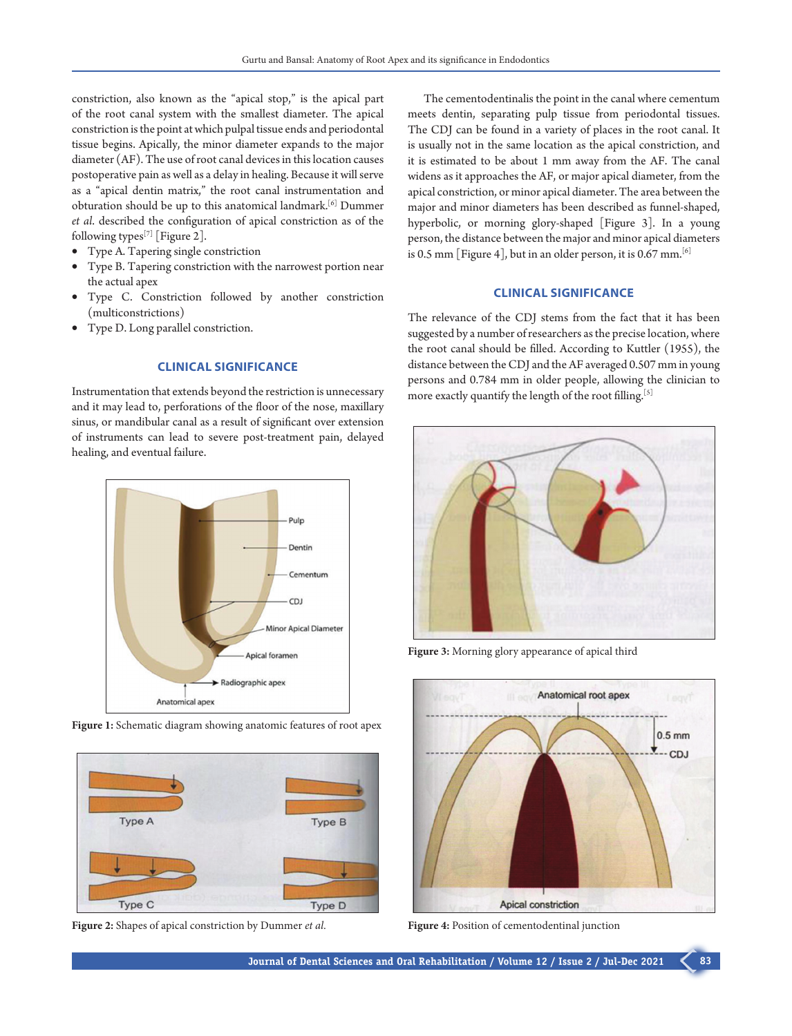constriction, also known as the "apical stop," is the apical part of the root canal system with the smallest diameter. The apical constriction is the point at which pulpal tissue ends and periodontal tissue begins. Apically, the minor diameter expands to the major diameter (AF). The use of root canal devices in this location causes postoperative pain as well as a delay in healing. Because it will serve as a "apical dentin matrix," the root canal instrumentation and obturation should be up to this anatomical landmark.[6] Dummer *et al*. described the configuration of apical constriction as of the following types<sup>[7]</sup> [Figure 2].

- Type A. Tapering single constriction
- • Type B. Tapering constriction with the narrowest portion near the actual apex
- Type C. Constriction followed by another constriction (multiconstrictions)
- Type D. Long parallel constriction.

## **CLINICAL SIGNIFICANCE**

Instrumentation that extends beyond the restriction is unnecessary and it may lead to, perforations of the floor of the nose, maxillary sinus, or mandibular canal as a result of significant over extension of instruments can lead to severe post-treatment pain, delayed healing, and eventual failure.







**Figure 2:** Shapes of apical constriction by Dummer *et al*.

The cementodentinalis the point in the canal where cementum meets dentin, separating pulp tissue from periodontal tissues. The CDJ can be found in a variety of places in the root canal. It is usually not in the same location as the apical constriction, and it is estimated to be about 1 mm away from the AF. The canal widens as it approaches the AF, or major apical diameter, from the apical constriction, or minor apical diameter. The area between the major and minor diameters has been described as funnel-shaped, hyperbolic, or morning glory-shaped [Figure 3]. In a young person, the distance between the major and minor apical diameters is 0.5 mm [Figure 4], but in an older person, it is 0.67 mm.  $[6]$ 

## **CLINICAL SIGNIFICANCE**

The relevance of the CDJ stems from the fact that it has been suggested by a number of researchers as the precise location, where the root canal should be filled. According to Kuttler (1955), the distance between the CDJ and the AF averaged 0.507 mm in young persons and 0.784 mm in older people, allowing the clinician to more exactly quantify the length of the root filling.<sup>[5]</sup>



**Figure 3:** Morning glory appearance of apical third



**Figure 4:** Position of cementodentinal junction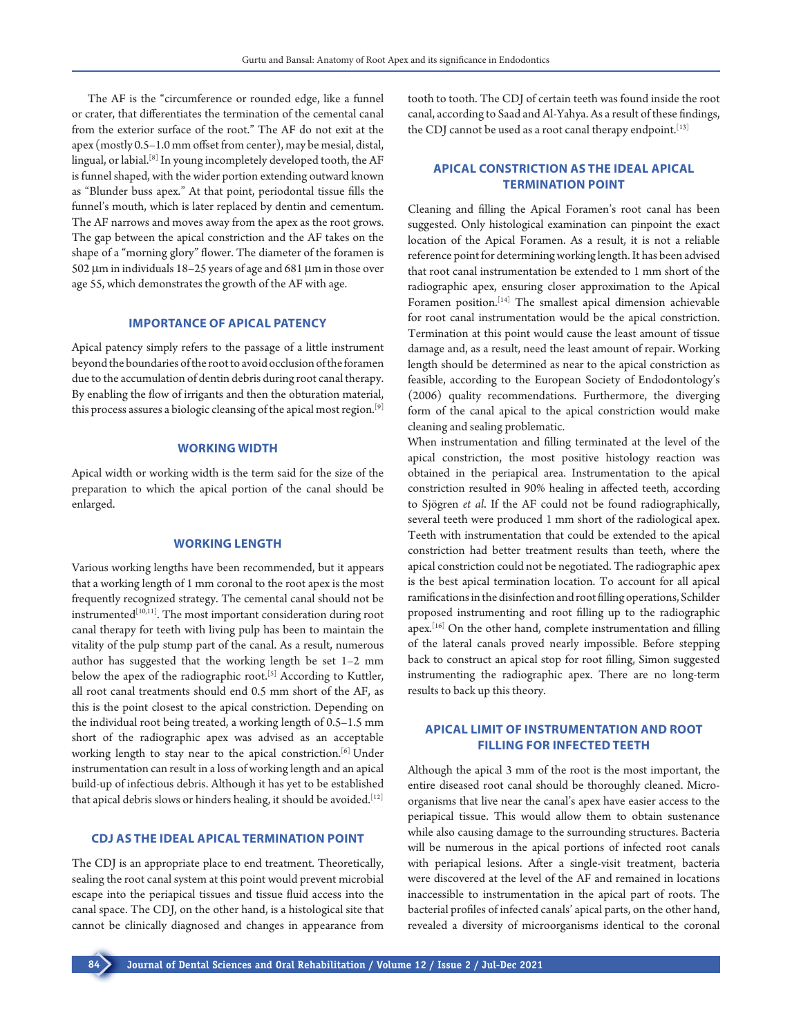The AF is the "circumference or rounded edge, like a funnel or crater, that differentiates the termination of the cemental canal from the exterior surface of the root." The AF do not exit at the apex (mostly 0.5–1.0 mm offset from center), may be mesial, distal, lingual, or labial.[8] In young incompletely developed tooth, the AF is funnel shaped, with the wider portion extending outward known as "Blunder buss apex." At that point, periodontal tissue fills the funnel's mouth, which is later replaced by dentin and cementum. The AF narrows and moves away from the apex as the root grows. The gap between the apical constriction and the AF takes on the shape of a "morning glory" flower. The diameter of the foramen is 502 µm in individuals 18–25 years of age and 681 µm in those over age 55, which demonstrates the growth of the AF with age.

## **IMPORTANCE OF APICAL PATENCY**

Apical patency simply refers to the passage of a little instrument beyond the boundaries of the root to avoid occlusion of the foramen due to the accumulation of dentin debris during root canal therapy. By enabling the flow of irrigants and then the obturation material, this process assures a biologic cleansing of the apical most region.<sup>[9]</sup>

#### **WORKING WIDTH**

Apical width or working width is the term said for the size of the preparation to which the apical portion of the canal should be enlarged.

## **WORKING LENGTH**

Various working lengths have been recommended, but it appears that a working length of 1 mm coronal to the root apex is the most frequently recognized strategy. The cemental canal should not be instrumented<sup>[10,11]</sup>. The most important consideration during root canal therapy for teeth with living pulp has been to maintain the vitality of the pulp stump part of the canal. As a result, numerous author has suggested that the working length be set 1–2 mm below the apex of the radiographic root.<sup>[5]</sup> According to Kuttler, all root canal treatments should end 0.5 mm short of the AF, as this is the point closest to the apical constriction. Depending on the individual root being treated, a working length of 0.5–1.5 mm short of the radiographic apex was advised as an acceptable working length to stay near to the apical constriction.[6] Under instrumentation can result in a loss of working length and an apical build-up of infectious debris. Although it has yet to be established that apical debris slows or hinders healing, it should be avoided.[12]

#### **CDJ AS THE IDEAL APICAL TERMINATION POINT**

The CDJ is an appropriate place to end treatment. Theoretically, sealing the root canal system at this point would prevent microbial escape into the periapical tissues and tissue fluid access into the canal space. The CDJ, on the other hand, is a histological site that cannot be clinically diagnosed and changes in appearance from

tooth to tooth. The CDJ of certain teeth was found inside the root canal, according to Saad and Al-Yahya. As a result of these findings, the CDJ cannot be used as a root canal therapy endpoint.<sup>[13]</sup>

# **APICAL CONSTRICTION AS THE IDEAL APICAL TERMINATION POINT**

Cleaning and filling the Apical Foramen's root canal has been suggested. Only histological examination can pinpoint the exact location of the Apical Foramen. As a result, it is not a reliable reference point for determining working length. It has been advised that root canal instrumentation be extended to 1 mm short of the radiographic apex, ensuring closer approximation to the Apical Foramen position.<sup>[14]</sup> The smallest apical dimension achievable for root canal instrumentation would be the apical constriction. Termination at this point would cause the least amount of tissue damage and, as a result, need the least amount of repair. Working length should be determined as near to the apical constriction as feasible, according to the European Society of Endodontology's (2006) quality recommendations. Furthermore, the diverging form of the canal apical to the apical constriction would make cleaning and sealing problematic.

When instrumentation and filling terminated at the level of the apical constriction, the most positive histology reaction was obtained in the periapical area. Instrumentation to the apical constriction resulted in 90% healing in affected teeth, according to Sjögren *et al*. If the AF could not be found radiographically, several teeth were produced 1 mm short of the radiological apex. Teeth with instrumentation that could be extended to the apical constriction had better treatment results than teeth, where the apical constriction could not be negotiated. The radiographic apex is the best apical termination location. To account for all apical ramifications in the disinfection and root filling operations, Schilder proposed instrumenting and root filling up to the radiographic apex.[16] On the other hand, complete instrumentation and filling of the lateral canals proved nearly impossible. Before stepping back to construct an apical stop for root filling, Simon suggested instrumenting the radiographic apex. There are no long-term results to back up this theory.

## **APICAL LIMIT OF INSTRUMENTATION AND ROOT FILLING FOR INFECTED TEETH**

Although the apical 3 mm of the root is the most important, the entire diseased root canal should be thoroughly cleaned. Microorganisms that live near the canal's apex have easier access to the periapical tissue. This would allow them to obtain sustenance while also causing damage to the surrounding structures. Bacteria will be numerous in the apical portions of infected root canals with periapical lesions. After a single-visit treatment, bacteria were discovered at the level of the AF and remained in locations inaccessible to instrumentation in the apical part of roots. The bacterial profiles of infected canals' apical parts, on the other hand, revealed a diversity of microorganisms identical to the coronal